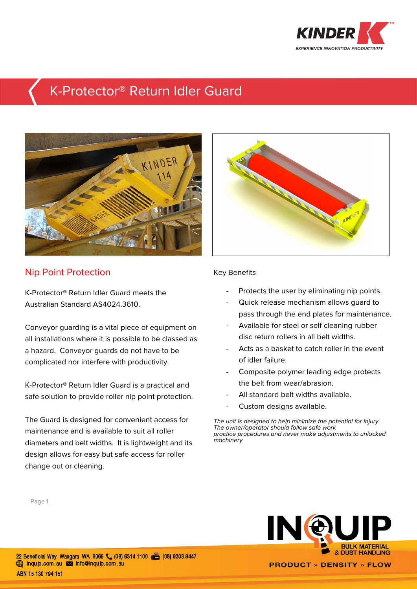

## K-Protector® Return Idler Guard



## Nip Point Protection

K-Protector® Return Idler Guard meets the Australian Standard AS4024.3610.

Conveyor guarding is a vital piece of equipment on all installations where it is possible to be classed as a hazard. Conveyor guards do not have to be complicated nor interfere with productivity.

K-Protector® Return Idler Guard is a practical and safe solution to provide roller nip point protection.

The Guard is designed for convenient access for maintenance and is available to suit all roller diameters and belt widths. It is lightweight and its design allows for easy but safe access for roller change out or cleaning.



## Key Benefits

- Protects the user by eliminating nip points.
- Quick release mechanism allows quard to pass through the end plates for maintenance.
- Available for steel or self cleaning rubber disc return rollers in all belt widths.
- Acts as a basket to catch roller in the event of idler failure.
- Composite polymer leading edge protects the belt from wear/abrasion.
- All standard belt widths available.
- Custom designs available.

The unit is designed to help minimize the potential for injury. The owner/operator should follow safe work practice procedures and never make adjustments to unlocked machinery

Page 1



22 Beneficial Way Wangara WA 6065 (08) 6314 1100 (8) 6303 9447 mquip.com.au Minfo@inquip.com.au ABN 15 130 794 151

**PRODUCT » DENSITY » FLOW**